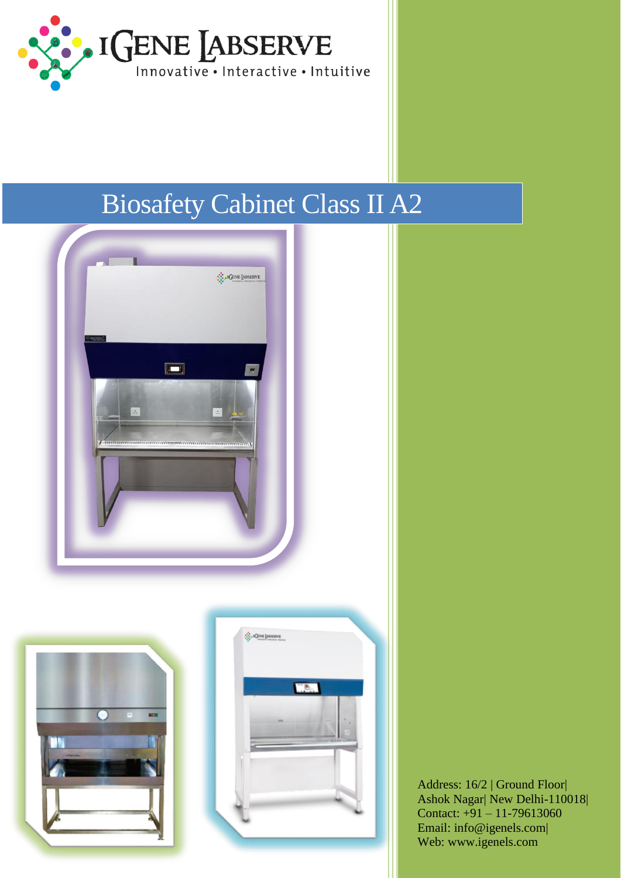

# Biosafety Cabinet Class II A2



Address: 16/2 | Ground Floor| Ashok Nagar| New Delhi-110018| Contact: +91 – 11-79613060 Email: info@igenels.com| Web: www.igenels.com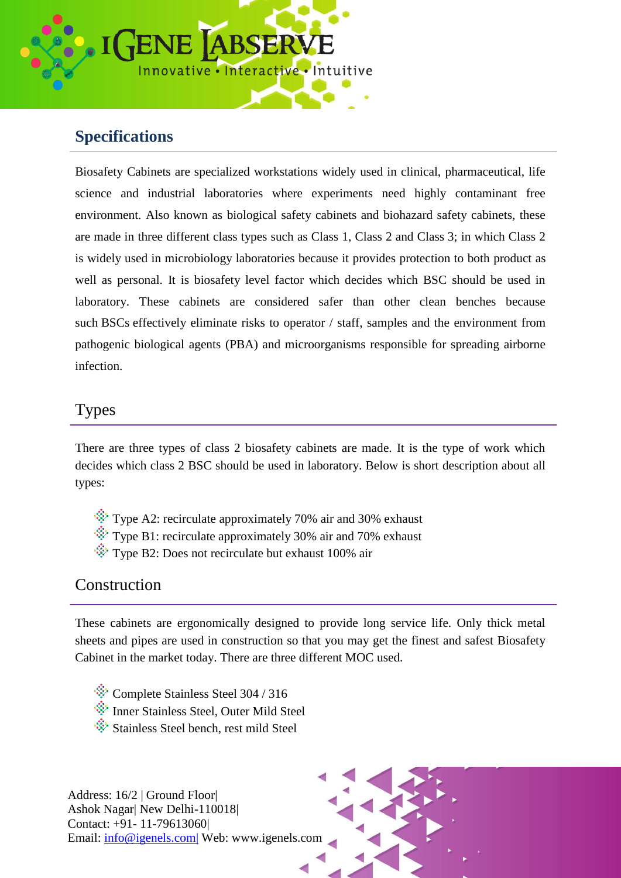

# **Specifications**

Biosafety Cabinets are specialized workstations widely used in clinical, pharmaceutical, life science and industrial laboratories where experiments need highly contaminant free environment. Also known as biological safety cabinets and biohazard safety cabinets, these are made in three different class types such as Class 1, Class 2 and Class 3; in which Class 2 is widely used in microbiology laboratories because it provides protection to both product as well as personal. It is biosafety level factor which decides which BSC should be used in laboratory. These cabinets are considered safer than other clean benches because such BSCs effectively eliminate risks to operator / staff, samples and the environment from pathogenic biological agents (PBA) and microorganisms responsible for spreading airborne infection.

#### Types

There are three types of class 2 biosafety cabinets are made. It is the type of work which decides which class 2 BSC should be used in laboratory. Below is short description about all types:

- $\ddot{\mathcal{L}}$  Type A2: recirculate approximately 70% air and 30% exhaust
- $\hat{\mathcal{F}}$  Type B1: recirculate approximately 30% air and 70% exhaust
- $\hat{\mathcal{L}}$  Type B2: Does not recirculate but exhaust 100% air

### Construction

These cabinets are ergonomically designed to provide long service life. Only thick metal sheets and pipes are used in construction so that you may get the finest and safest Biosafety Cabinet in the market today. There are three different MOC used.

- Complete Stainless Steel 304 / 316
- Inner Stainless Steel, Outer Mild Steel
- Stainless Steel bench, rest mild Steel

Address: 16/2 | Ground Floor| Ashok Nagar| New Delhi-110018| Contact: +91- 11-79613060| Email: info@igenels.com| Web: www.igenels.com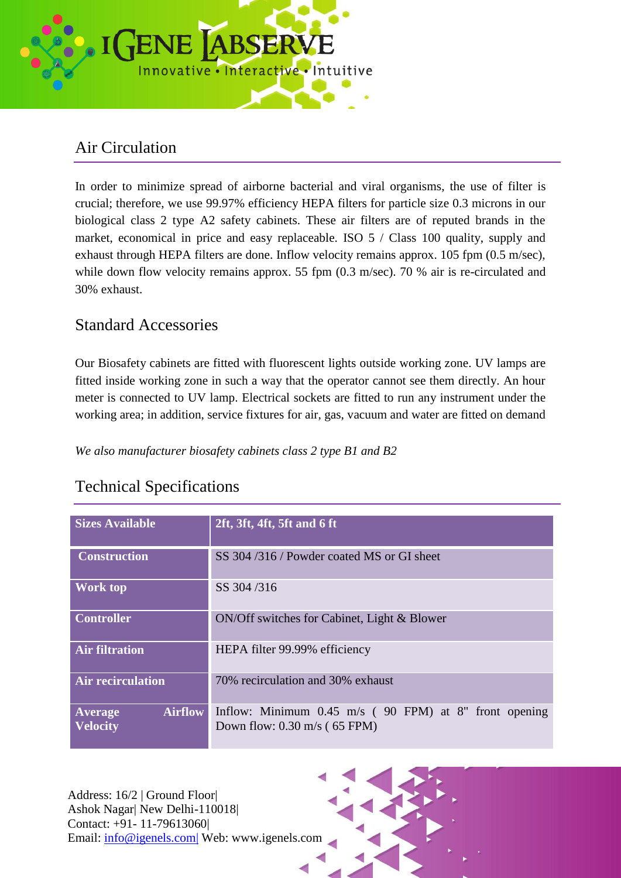

## Air Circulation

In order to minimize spread of airborne bacterial and viral organisms, the use of filter is crucial; therefore, we use 99.97% efficiency HEPA filters for particle size 0.3 microns in our biological class 2 type A2 safety cabinets. These air filters are of reputed brands in the market, economical in price and easy replaceable. ISO 5 / Class 100 quality, supply and exhaust through HEPA filters are done. Inflow velocity remains approx. 105 fpm (0.5 m/sec), while down flow velocity remains approx. 55 fpm (0.3 m/sec). 70 % air is re-circulated and 30% exhaust.

### Standard Accessories

Our Biosafety cabinets are fitted with fluorescent lights outside working zone. UV lamps are fitted inside working zone in such a way that the operator cannot see them directly. An hour meter is connected to UV lamp. Electrical sockets are fitted to run any instrument under the working area; in addition, service fixtures for air, gas, vacuum and water are fitted on demand

*We also manufacturer biosafety cabinets class 2 type B1 and B2*

## Technical Specifications

| <b>Sizes Available</b>                              | 2ft, 3ft, 4ft, 5ft and 6 ft                                                                               |  |  |
|-----------------------------------------------------|-----------------------------------------------------------------------------------------------------------|--|--|
| <b>Construction</b>                                 | SS 304/316/Powder coated MS or GI sheet                                                                   |  |  |
| <b>Work top</b>                                     | SS 304/316                                                                                                |  |  |
| <b>Controller</b>                                   | ON/Off switches for Cabinet, Light & Blower                                                               |  |  |
| <b>Air filtration</b>                               | HEPA filter 99.99% efficiency                                                                             |  |  |
| <b>Air recirculation</b>                            | 70% recirculation and 30% exhaust                                                                         |  |  |
| <b>Airflow</b><br><b>Average</b><br><b>Velocity</b> | Inflow: Minimum $0.45 \text{ m/s}$ (90 FPM) at 8" front opening<br>Down flow: $0.30 \text{ m/s}$ (65 FPM) |  |  |

Address: 16/2 | Ground Floor| Ashok Nagar| New Delhi-110018| Contact: +91- 11-79613060| Email: info@igenels.com| Web: www.igenels.com